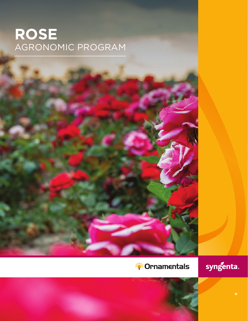# **ROSE** AGRONOMIC PROGRAM

## *<sup>Sive</sup>* **Ornamentals**

## syngenta.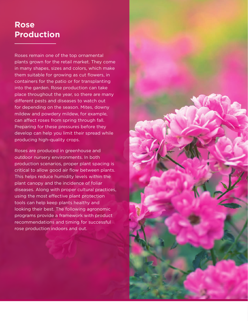## **Rose Production**

Roses remain one of the top ornamental plants grown for the retail market. They come in many shapes, sizes and colors, which make them suitable for growing as cut flowers, in containers for the patio or for transplanting into the garden. Rose production can take place throughout the year, so there are many different pests and diseases to watch out for depending on the season. Mites, downy mildew and powdery mildew, for example, can affect roses from spring through fall. Preparing for these pressures before they develop can help you limit their spread while producing high-quality crops.

Roses are produced in greenhouse and outdoor nursery environments. In both production scenarios, proper plant spacing is critical to allow good air flow between plants. This helps reduce humidity levels within the plant canopy and the incidence of foliar diseases. Along with proper cultural practices, using the most effective plant protection tools can help keep plants healthy and looking their best. The following agronomic programs provide a framework with product recommendations and timing for successful rose production indoors and out.

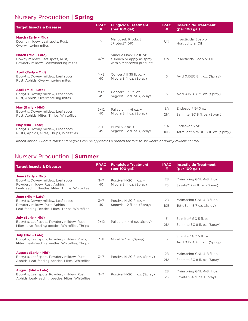### Nursery Production **| Spring**

| <b>FRAC</b><br><b>Target Insects &amp; Diseases</b><br>(per 100 gal)<br>#                           |              | <b>Fungicide Treatment</b>                                                       | <b>IRAC</b><br>#             | <b>Insecticide Treatment</b><br>(per 100 gal)                   |  |
|-----------------------------------------------------------------------------------------------------|--------------|----------------------------------------------------------------------------------|------------------------------|-----------------------------------------------------------------|--|
| <b>March (Early - Mid)</b><br>Downy mildew, Leaf spots, Rust,<br>Overwintering mites                | M            | Mancozeb Product<br>(Protect™ DF)                                                | <b>UN</b>                    | Insecticidal Soap or<br>Horticultural Oil                       |  |
| March (Mid - Late)<br>Downy mildew, Leaf spots, Rust,<br>Powdery mildew, Overwintering mites        | 4/M          | Subdue Maxx 1-2 fl. oz.<br>(Drench or apply as spray<br>with a Mancozeb product) | UN.                          | Insecticidal Soap or Oil                                        |  |
| April (Early - Mid)<br>Botrytis, Downy mildew, Leaf spots,<br>Rust, Aphids, Overwintering mites     | $M+3$<br>40  | Concert <sup>®</sup> II 35 fl. oz. +<br>Micora 8 fl. oz. (Spray)                 | 6                            | Avid 0.15EC 8 fl. oz. (Spray)                                   |  |
| April (Mid - Late)<br>Botrytis, Downy mildew, Leaf spots,<br>Rust, Aphids, Overwintering mites      | $M+3$<br>49  | Concert II 35 fl. oz. +<br>Segovis 1-2 fl. oz. (Spray)                           | 6                            | Avid 0.15EC 8 fl. oz. (Spray)                                   |  |
| May (Early - Mid)<br>Botrytis, Downy mildew, Leaf spots,<br>Rust, Aphids, Mites, Thrips, Whiteflies | $9+12$<br>40 | Palladium 4-6 oz. +<br>Micora 8 fl. oz. (Spray)                                  | <b>9A</b><br>21A             | Endeavor <sup>®</sup> 5-10 oz.<br>Sanmite® SC 8 fl. oz. (Spray) |  |
| May (Mid - Late)<br>Botrytis, Downy mildew, Leaf spots,<br>Rusts, Aphids, Mites, Thrips, Whiteflies | $7+11$<br>49 | Mural 6-7 oz. +<br>Segovis 1-2 fl. oz. (Spray)                                   | <b>9A</b><br>10 <sub>B</sub> | Endeavor 5 oz.<br>TetraSan® 5 WDG 8-16 oz. (Spray)              |  |

*Drench option: Subdue Maxx and Segovis can be applied as a drench for four to six weeks of downy mildew control.*

#### Nursery Production **| Summer**

| <b>Target Insects &amp; Diseases</b>                                                                                                          | <b>FRAC</b><br># | <b>Fungicide Treatment</b><br>(per 100 gal)            | <b>IRAC</b><br># | <b>Insecticide Treatment</b><br>(per 100 gal)                         |
|-----------------------------------------------------------------------------------------------------------------------------------------------|------------------|--------------------------------------------------------|------------------|-----------------------------------------------------------------------|
| June (Early - Mid)<br>Botrytis, Downy mildew, Leaf spots,<br>Powdery mildew, Rust, Aphids,<br>Leaf-feeding Beetles, Mites, Thrips, Whiteflies | $3+7$<br>40      | Postiva 14-20 fl. oz. +<br>Micora 8 fl. oz. (Spray)    | 28<br>23         | Mainspring GNL 4-8 fl. oz.<br>Savate <sup>™</sup> 2-4 fl. oz. (Spray) |
| June (Mid - Late)<br>Botrytis, Downy mildew, Leaf spots,<br>Powdery mildew, Rust, Aphids,<br>Leaf-feeding Beetles, Mites, Thrips, Whiteflies  | $3+7$<br>49      | Postiva 14-20 fl. oz. +<br>Segovis 1-2 fl. oz. (Spray) | 28<br>10B        | Mainspring GNL 4-8 fl. oz.<br>TetraSan 13.7 oz. (Spray)               |
| <b>July (Early - Mid)</b><br>Botrytis, Leaf spots, Powdery mildew, Rust,<br>Mites, Leaf-feeding beetles, Whiteflies, Thrips                   | $9+12$           | Palladium 4-6 oz. (Spray)                              | 3<br>21A         | Scimitar <sup>®</sup> GC 5 fl. oz.<br>Sanmite SC 8 fl. oz. (Spray)    |
| July (Mid - Late)<br>Botrytis, Leaf spots, Powdery mildew, Rusts,<br>Mites, Leaf-feeding beetles, Whiteflies, Thrips                          | $7 + 11$         | Mural 6-7 oz. (Spray)                                  | 6                | Scimitar <sup>®</sup> GC 5 fl. oz.<br>Avid 0.15EC 8 fl. oz. (Spray)   |
| <b>August (Early - Mid)</b><br>Botrytis, Leaf spots, Powdery mildew, Rust,<br>Aphids, Leaf-feeding beetles, Mites, Whiteflies                 | $3+7$            | Postiva 14-20 fl. oz. (Sprav)                          | 28<br>21A        | Mainspring GNL 4-8 fl. oz.<br>Sanmite SC 8 fl. oz. (Spray)            |
| <b>August (Mid - Late)</b><br>Botrytis, Leaf spots, Powdery mildew, Rust,<br>Aphids, Leaf-feeding beetles, Mites, Whiteflies                  | $3+7$            | Postiva 14-20 fl. oz. (Spray)                          | 28<br>23         | Mainspring GNL 4-8 fl. oz.<br>Savate 2-4 fl. oz. (Spray)              |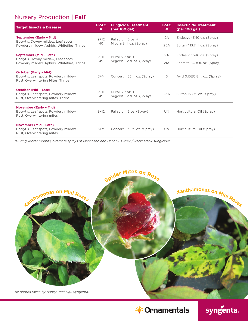#### Nursery Production **| Fall\***

| <b>Target Insects &amp; Diseases</b>                                                                       | <b>FRAC</b><br># | <b>Fungicide Treatment</b><br>(per 100 gal)    | <b>IRAC</b><br># | <b>Insecticide Treatment</b><br>(per 100 gal) |
|------------------------------------------------------------------------------------------------------------|------------------|------------------------------------------------|------------------|-----------------------------------------------|
| <b>September (Early - Mid)</b><br>Botrytis, Downy mildew, Leaf spots,                                      | $9+12$<br>40     | Palladium 6 oz. +                              | <b>9A</b>        | Endeavor 5-10 oz. (Spray)                     |
| Powdery mildew, Aphids, Whiteflies, Thrips                                                                 |                  | Micora 8 fl. oz. (Spray)                       | 25A              | Sultan <sup>™</sup> 13.7 fl. oz. (Spray)      |
| September (Mid - Late)<br>Botrytis, Downy mildew, Leaf spots,                                              | $7 + 11$<br>49   | Mural 6-7 oz. +<br>Segovis 1-2 fl. oz. (Spray) | <b>9A</b>        | Endeavor 5-10 oz. (Spray)                     |
| Powdery mildew, Aphids, Whiteflies, Thrips                                                                 |                  |                                                | 21A              | Sanmite SC 8 fl. oz. (Spray)                  |
| <b>October (Early - Mid)</b><br>Botrytis, Leaf spots, Powdery mildew,<br>Rust, Overwintering Mites, Thrips | $3+M$            | Concert II 35 fl. oz. (Spray)                  | 6                | Avid 0.15EC 8 fl. oz. (Spray)                 |
| <b>October (Mid - Late)</b><br>Botrytis, Leaf spots, Powdery mildew,<br>Rust. Overwintering mites. Thrips  | $7 + 11$<br>49   | Mural 6-7 oz. +<br>Segovis 1-2 fl. oz. (Spray) | 25A              | Sultan 13.7 fl. oz. (Spray)                   |
| <b>November (Early - Mid)</b><br>Botrytis, Leaf spots, Powdery mildew,<br>Rust. Overwintering mites        | $9+12$           | Palladium 6 oz. (Spray)                        | UN.              | Horticultural Oil (Spray)                     |
| <b>November (Mid - Late)</b><br>Botrytis, Leaf spots, Powdery mildew,<br>Rust, Overwintering mites         | $3+M$            | Concert II 35 fl. oz. (Spray)                  | UN.              | Horticultural Oil (Spray)                     |

*\*During winter months, alternate sprays of Mancozeb and Daconil® Ultrex /Weatherstik® fungicides*





syngenta.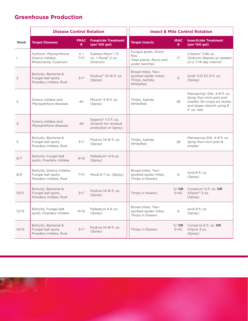#### **Greenhouse Production**

|                | <b>Disease Control Rotation</b>                                       |                  |                                                                                  | <b>Insect &amp; Mite Control Rotation</b>                                   |                  |                                                                                                                                        |  |  |
|----------------|-----------------------------------------------------------------------|------------------|----------------------------------------------------------------------------------|-----------------------------------------------------------------------------|------------------|----------------------------------------------------------------------------------------------------------------------------------------|--|--|
| Week           | <b>Target Diseases</b>                                                | <b>FRAC</b><br># | <b>Fungicide Treatment</b><br>(per 100 gal)                                      | <b>Target Insects</b>                                                       | <b>IRAC</b><br># | <b>Insecticide Treatment</b><br>(per 100 gal)                                                                                          |  |  |
| $\mathbf{1}$   | Pythium, Phytophthora,<br>Downy mildew,<br>Rhizoctonia, Fusarium      | $4 +$<br>$7+11$  | Subdue Maxx <sup>®</sup> 1 fl.<br>oz. + Mural® 2 oz.<br>(Drench)                 | Fungus gnats, Shore<br>flies<br>Treat plants, floors and<br>under benches   | 17               | Citation <sup>®</sup> 2.66 oz.<br>(Drench) Repeat as needed<br>on a 7-14-day interval                                                  |  |  |
| $\overline{2}$ | Botrytis, Bacterial &<br>Fungal leaf spots,<br>Powdery mildew, Rust   | $3+7$            | Postiva <sup>™</sup> 14-16 fl. oz.<br>(Spray)                                    | Broad mites, Two-<br>spotted spider mites,<br>Thrips, Aphids,<br>Whiteflies | 6                | Avid <sup>®</sup> 0.15 EC 8 fl. oz.<br>(Spray)                                                                                         |  |  |
| 3              | Downy mildew and<br>Phytophthora diseases                             | 40               | Micora <sup>®</sup> 4-8 fl. oz.<br>(Spray)                                       | Thrips, Aphids,<br>Whiteflies                                               | 28               | Mainspring® GNL 4-8 fl. oz.<br>Spray four-inch pots and<br>smaller, for crops six inches<br>and larger, drench using 8<br>fl. oz. rate |  |  |
| 4              | Downy mildew and<br>Phytophthora diseases                             | 49               | Segovis <sup>®</sup> 1-2 fl. oz.<br>(Drench for residual<br>protection or Spray) |                                                                             |                  |                                                                                                                                        |  |  |
| 5              | Botrytis, Bacterial &<br>Fungal leaf spots,<br>Powdery mildew, Rust   | $3+7$            | Postiva 14-16 fl. oz.<br>(Spray)                                                 | Thrips, Aphids,<br>Whiteflies                                               | 28               | Mainspring GNL 4-8 fl. oz.<br>Spray four-inch pots &<br>smaller                                                                        |  |  |
| 6/7            | Botrytis, Fungal leaf<br>spots, Powdery mildew                        | $9+12$           | Palladium <sup>®</sup> 4-6 oz.<br>(Spray)                                        |                                                                             |                  |                                                                                                                                        |  |  |
| 8/9            | Botrytis, Downy mildew,<br>Fungal leaf spots,<br>Powdery mildew, Rust | $7+11$           | Mural 6-7 oz. (Spray)                                                            | Broad mites. Two-<br>spotted spider mites.<br>Thrips in flowers             | 6                | Avid 8 fl. oz.<br>(Spray)                                                                                                              |  |  |
| 10/11          | Botrytis, Bacterial &<br>Fungal leaf spots,<br>Powdery mildew, Rust   | $3+7$            | Postiva 14-16 fl. oz.<br>(Spray)                                                 | Thrips in flowers                                                           | $5+4C$           | $5/\overline{OR}$ Conserve <sup>®</sup> 6 fl. oz. OR<br>XXpire™ 3 oz.<br>(Spray)                                                       |  |  |
| 12/13          | Botrytis, Fungal leaf<br>spots, Powdery mildew                        | $9+12$           | Palladium 4-6 oz.<br>(Spray)                                                     | Broad mites. Two-<br>spotted spider mites.<br>Thrips in flowers             | 6                | Avid 8 fl. oz.<br>(Spray)                                                                                                              |  |  |
| 14/15          | Botrytis, Bacterial &<br>Fungal leaf spots,<br>Powdery mildew, Rust   | $3+7$            | Postiva 14-16 fl. oz.<br>(Spray)                                                 | Thrips in flowers                                                           | $5+4C$           | $5/\overline{OR}$ Conserve 6 fl. oz. OR<br>XXpire 3 oz.<br>(Spray)                                                                     |  |  |